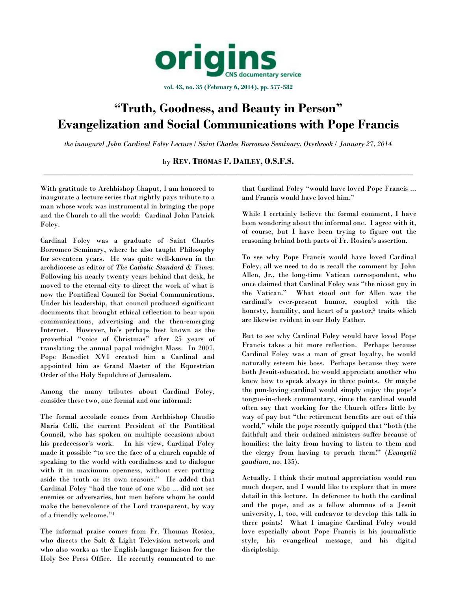

**vol. 43, no. 35 (February 6, 2014), pp. 577-582**

# **"Truth, Goodness, and Beauty in Person" Evangelization and Social Communications with Pope Francis**

*the inaugural John Cardinal Foley Lecture / Saint Charles Borromeo Seminary, Overbrook / January 27, 2014*

by **REV. THOMAS F. DAILEY, O.S.F.S.** \_\_\_\_\_\_\_\_\_\_\_\_\_\_\_\_\_\_\_\_\_\_\_\_\_\_\_\_\_\_\_\_\_\_\_\_\_\_\_\_\_\_\_\_\_\_\_\_\_\_\_\_\_\_\_\_\_\_\_\_\_\_\_\_\_\_\_\_\_\_\_\_\_\_\_\_\_\_\_\_\_\_\_\_\_\_\_\_\_\_

With gratitude to Archbishop Chaput, I am honored to inaugurate a lecture series that rightly pays tribute to a man whose work was instrumental in bringing the pope and the Church to all the world: Cardinal John Patrick Foley.

Cardinal Foley was a graduate of Saint Charles Borromeo Seminary, where he also taught Philosophy for seventeen years. He was quite well-known in the archdiocese as editor of *The Catholic Standard & Times*. Following his nearly twenty years behind that desk, he moved to the eternal city to direct the work of what is now the Pontifical Council for Social Communications. Under his leadership, that council produced significant documents that brought ethical reflection to bear upon communications, advertising and the then-emerging Internet. However, he's perhaps best known as the proverbial "voice of Christmas" after 25 years of translating the annual papal midnight Mass. In 2007, Pope Benedict XVI created him a Cardinal and appointed him as Grand Master of the Equestrian Order of the Holy Sepulchre of Jerusalem.

Among the many tributes about Cardinal Foley, consider these two, one formal and one informal:

The formal accolade comes from Archbishop Claudio Maria Celli, the current President of the Pontifical Council, who has spoken on multiple occasions about his predecessor's work. In his view, Cardinal Foley made it possible "to see the face of a church capable of speaking to the world with cordialness and to dialogue with it in maximum openness, without ever putting aside the truth or its own reasons." He added that Cardinal Foley "had the tone of one who ... did not see enemies or adversaries, but men before whom he could make the benevolence of the Lord transparent, by way of a friendly welcome."<sup>1</sup>

The informal praise comes from Fr. Thomas Rosica, who directs the Salt & Light Television network and who also works as the English-language liaison for the Holy See Press Office. He recently commented to me that Cardinal Foley "would have loved Pope Francis ... and Francis would have loved him."

While I certainly believe the formal comment, I have been wondering about the informal one. I agree with it, of course, but I have been trying to figure out the reasoning behind both parts of Fr. Rosica's assertion.

To see why Pope Francis would have loved Cardinal Foley, all we need to do is recall the comment by John Allen, Jr., the long-time Vatican correspondent, who once claimed that Cardinal Foley was "the nicest guy in the Vatican." What stood out for Allen was the cardinal's ever-present humor, coupled with the honesty, humility, and heart of a pastor,<sup>2</sup> traits which are likewise evident in our Holy Father.

But to see why Cardinal Foley would have loved Pope Francis takes a bit more reflection. Perhaps because Cardinal Foley was a man of great loyalty, he would naturally esteem his boss. Perhaps because they were both Jesuit-educated, he would appreciate another who knew how to speak always in three points. Or maybe the pun-loving cardinal would simply enjoy the pope's tongue-in-cheek commentary, since the cardinal would often say that working for the Church offers little by way of pay but "the retirement benefits are out of this world," while the pope recently quipped that "both (the faithful) and their ordained ministers suffer because of homilies: the laity from having to listen to them and the clergy from having to preach them!" (*Evangelii gaudium*, no. 135).

Actually, I think their mutual appreciation would run much deeper, and I would like to explore that in more detail in this lecture. In deference to both the cardinal and the pope, and as a fellow alumnus of a Jesuit university, I, too, will endeavor to develop this talk in three points! What I imagine Cardinal Foley would love especially about Pope Francis is his journalistic style, his evangelical message, and his digital discipleship.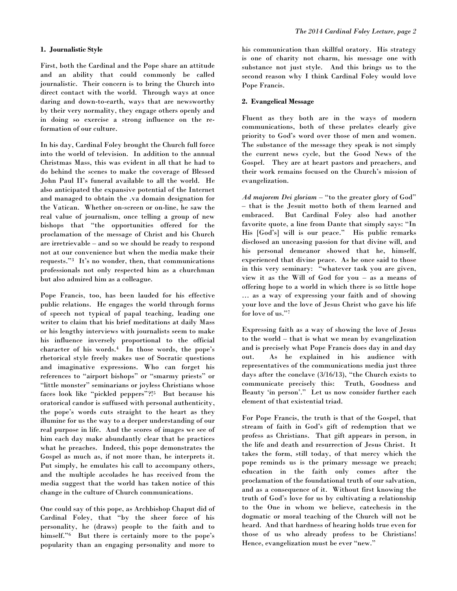First, both the Cardinal and the Pope share an attitude and an ability that could commonly be called journalistic. Their concern is to bring the Church into direct contact with the world. Through ways at once daring and down-to-earth, ways that are newsworthy by their very normality, they engage others openly and in doing so exercise a strong influence on the reformation of our culture.

In his day, Cardinal Foley brought the Church full force into the world of television. In addition to the annual Christmas Mass, this was evident in all that he had to do behind the scenes to make the coverage of Blessed John Paul II's funeral available to all the world. He also anticipated the expansive potential of the Internet and managed to obtain the .va domain designation for the Vatican. Whether on-screen or on-line, he saw the real value of journalism, once telling a group of new bishops that "the opportunities offered for the proclamation of the message of Christ and his Church are irretrievable – and so we should be ready to respond not at our convenience but when the media make their requests."<sup>3</sup> It's no wonder, then, that communications professionals not only respected him as a churchman but also admired him as a colleague.

Pope Francis, too, has been lauded for his effective public relations. He engages the world through forms of speech not typical of papal teaching, leading one writer to claim that his brief meditations at daily Mass or his lengthy interviews with journalists seem to make his influence inversely proportional to the official character of his words.<sup>4</sup> In those words, the pope's rhetorical style freely makes use of Socratic questions and imaginative expressions. Who can forget his references to "airport bishops" or "smarmy priests" or "little monster" seminarians or joyless Christians whose faces look like "pickled peppers"?!<sup>5</sup> But because his oratorical candor is suffused with personal authenticity, the pope's words cuts straight to the heart as they illumine for us the way to a deeper understanding of our real purpose in life. And the scores of images we see of him each day make abundantly clear that he practices what he preaches. Indeed, this pope demonstrates the Gospel as much as, if not more than, he interprets it. Put simply, he emulates his call to accompany others, and the multiple accolades he has received from the media suggest that the world has taken notice of this change in the culture of Church communications.

One could say of this pope, as Archbishop Chaput did of Cardinal Foley, that "by the sheer force of his personality, he (draws) people to the faith and to himself."<sup>6</sup> But there is certainly more to the pope's popularity than an engaging personality and more to

his communication than skillful oratory. His strategy is one of charity not charm, his message one with substance not just style. And this brings us to the second reason why I think Cardinal Foley would love Pope Francis.

## **2. Evangelical Message**

Fluent as they both are in the ways of modern communications, both of these prelates clearly give priority to God's word over those of men and women. The substance of the message they speak is not simply the current news cycle, but the Good News of the Gospel. They are at heart pastors and preachers, and their work remains focused on the Church's mission of evangelization.

*Ad majorem Dei gloriam* – "to the greater glory of God" – that is the Jesuit motto both of them learned and embraced. But Cardinal Foley also had another favorite quote, a line from Dante that simply says: "In His [God's] will is our peace." His public remarks disclosed an unceasing passion for that divine will, and his personal demeanor showed that he, himself, experienced that divine peace. As he once said to those in this very seminary: "whatever task you are given, view it as the Will of God for you – as a means of offering hope to a world in which there is so little hope … as a way of expressing your faith and of showing your love and the love of Jesus Christ who gave his life for love of us."7

Expressing faith as a way of showing the love of Jesus to the world – that is what we mean by evangelization and is precisely what Pope Francis does day in and day out. As he explained in his audience with representatives of the communications media just three days after the conclave (3/16/13), "the Church exists to communicate precisely this: Truth, Goodness and Beauty 'in person'." Let us now consider further each element of that existential triad.

For Pope Francis, the truth is that of the Gospel, that stream of faith in God's gift of redemption that we profess as Christians. That gift appears in person, in the life and death and resurrection of Jesus Christ. It takes the form, still today, of that mercy which the pope reminds us is the primary message we preach; education in the faith only comes after the proclamation of the foundational truth of our salvation, and as a consequence of it. Without first knowing the truth of God's love for us by cultivating a relationship to the One in whom we believe, catechesis in the dogmatic or moral teaching of the Church will not be heard. And that hardness of hearing holds true even for those of us who already profess to be Christians! Hence, evangelization must be ever "new."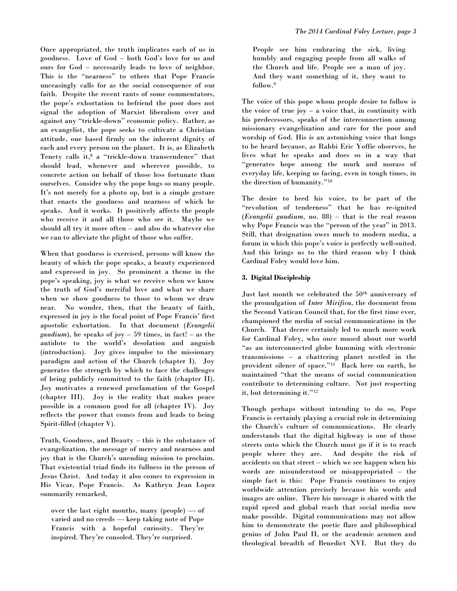Once appropriated, the truth implicates each of us in goodness. Love of God – both God's love for us and ours for God – necessarily leads to love of neighbor. This is the "nearness" to others that Pope Francis unceasingly calls for as the social consequence of our faith. Despite the recent rants of some commentators, the pope's exhortation to befriend the poor does not signal the adoption of Marxist liberalism over and against any "trickle-down" economic policy. Rather, as an evangelist, the pope seeks to cultivate a Christian attitude, one based firmly on the inherent dignity of each and every person on the planet. It is, as Elizabeth Tenety calls it, <sup>8</sup> a "trickle-down transcendence" that should lead, whenever and wherever possible, to concrete action on behalf of those less fortunate than ourselves. Consider why the pope hugs so many people. It's not merely for a photo op, but is a simple gesture that enacts the goodness and nearness of which he speaks. And it works. It positively affects the people who receive it and all those who see it. Maybe we should all try it more often – and also do whatever else we can to alleviate the plight of those who suffer.

When that goodness is exercised, persons will know the beauty of which the pope speaks, a beauty experienced and expressed in joy. So prominent a theme in the pope's speaking, joy is what we receive when we know the truth of God's merciful love and what we share when we show goodness to those to whom we draw near. No wonder, then, that the beauty of faith, expressed in joy is the focal point of Pope Francis' first apostolic exhortation. In that document (*Evangelii gaudium*), he speaks of joy  $-59$  times, in fact!  $-$  as the antidote to the world's desolation and anguish (introduction). Joy gives impulse to the missionary paradigm and action of the Church (chapter I). Joy generates the strength by which to face the challenges of being publicly committed to the faith (chapter II). Joy motivates a renewed proclamation of the Gospel (chapter III). Joy is the reality that makes peace possible in a common good for all (chapter IV). Joy reflects the power that comes from and leads to being Spirit-filled (chapter V).

Truth, Goodness, and Beauty – this is the substance of evangelization, the message of mercy and nearness and joy that is the Church's unending mission to proclaim. That existential triad finds its fullness in the person of Jesus Christ. And today it also comes to expression in His Vicar, Pope Francis. As Kathryn Jean Lopez summarily remarked,

over the last eight months, many (people) — of varied and no creeds — keep taking note of Pope Francis with a hopeful curiosity. They're inspired. They're consoled. They're surprised.

People see him embracing the sick, living humbly and engaging people from all walks of the Church and life. People see a man of joy. And they want something of it, they want to follow.<sup>9</sup>

The voice of this pope whom people desire to follow is the voice of true joy – a voice that, in continuity with his predecessors, speaks of the interconnection among missionary evangelization and care for the poor and worship of God. His is an astonishing voice that longs to be heard because, as Rabbi Eric Yoffie observes, he lives what he speaks and does so in a way that "generates hope among the murk and morass of everyday life, keeping us facing, even in tough times, in the direction of humanity."<sup>10</sup>

The desire to heed his voice, to be part of the "revolution of tenderness" that he has re-ignited (*Evangelii gaudium*, no. 88) – that is the real reason why Pope Francis was the "person of the year" in 2013. Still, that designation owes much to modern media, a forum in which this pope's voice is perfectly well-suited. And this brings us to the third reason why I think Cardinal Foley would love him.

### **3. Digital Discipleship**

Just last month we celebrated the 50<sup>th</sup> anniversary of the promulgation of *Inter Mirifica*, the document from the Second Vatican Council that, for the first time ever, championed the media of social communications in the Church. That decree certainly led to much more work for Cardinal Foley, who once mused about our world "as an interconnected globe humming with electronic transmissions – a chattering planet nestled in the provident silence of space."<sup>11</sup> Back here on earth, he maintained "that the means of social communication contribute to determining culture. Not just respecting it, but determining it."<sup>12</sup>

Though perhaps without intending to do so, Pope Francis is certainly playing a crucial role in determining the Church's culture of communications. He clearly understands that the digital highway is one of those streets onto which the Church must go if it is to reach people where they are. And despite the risk of accidents on that street – which we see happen when his words are misunderstood or misappropriated – the simple fact is this: Pope Francis continues to enjoy worldwide attention precisely because his words and images are online. There his message is shared with the rapid speed and global reach that social media now make possible. Digital communications may not allow him to demonstrate the poetic flare and philosophical genius of John Paul II, or the academic acumen and theological breadth of Benedict XVI. But they do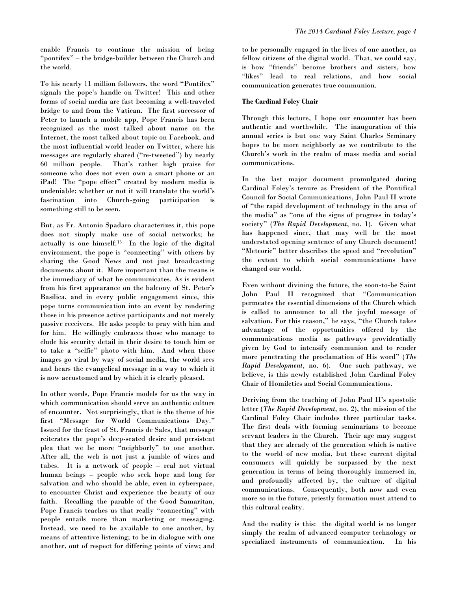enable Francis to continue the mission of being "pontifex" – the bridge-builder between the Church and the world.

To his nearly 11 million followers, the word "Pontifex" signals the pope's handle on Twitter! This and other forms of social media are fast becoming a well-traveled bridge to and from the Vatican. The first successor of Peter to launch a mobile app, Pope Francis has been recognized as the most talked about name on the Internet, the most talked about topic on Facebook, and the most influential world leader on Twitter, where his messages are regularly shared ("re-tweeted") by nearly 60 million people. That's rather high praise for someone who does not even own a smart phone or an iPad! The "pope effect" created by modern media is undeniable; whether or not it will translate the world's fascination into Church-going participation is something still to be seen.

But, as Fr. Antonio Spadaro characterizes it, this pope does not simply make use of social networks; he actually *is* one himself.<sup>13</sup> In the logic of the digital environment, the pope is "connecting" with others by sharing the Good News and not just broadcasting documents about it. More important than the means is the immediacy of what he communicates. As is evident from his first appearance on the balcony of St. Peter's Basilica, and in every public engagement since, this pope turns communication into an event by rendering those in his presence active participants and not merely passive receivers. He asks people to pray with him and for him. He willingly embraces those who manage to elude his security detail in their desire to touch him or to take a "selfie" photo with him. And when those images go viral by way of social media, the world sees and hears the evangelical message in a way to which it is now accustomed and by which it is clearly pleased.

In other words, Pope Francis models for us the way in which communication should serve an authentic culture of encounter. Not surprisingly, that is the theme of his first "Message for World Communications Day." Issued for the feast of St. Francis de Sales, that message reiterates the pope's deep-seated desire and persistent plea that we be more "neighborly" to one another. After all, the web is not just a jumble of wires and tubes. It is a network of people – real not virtual human beings – people who seek hope and long for salvation and who should be able, even in cyberspace, to encounter Christ and experience the beauty of our faith. Recalling the parable of the Good Samaritan, Pope Francis teaches us that really "connecting" with people entails more than marketing or messaging. Instead, we need to be available to one another, by means of attentive listening; to be in dialogue with one another, out of respect for differing points of view; and to be personally engaged in the lives of one another, as fellow citizens of the digital world. That, we could say, is how "friends" become brothers and sisters, how "likes" lead to real relations, and how social communication generates true communion.

# **The Cardinal Foley Chair**

Through this lecture, I hope our encounter has been authentic and worthwhile. The inauguration of this annual series is but one way Saint Charles Seminary hopes to be more neighborly as we contribute to the Church's work in the realm of mass media and social communications.

In the last major document promulgated during Cardinal Foley's tenure as President of the Pontifical Council for Social Communications, John Paul II wrote of "the rapid development of technology in the area of the media" as "one of the signs of progress in today's society" (*The Rapid Development*, no. 1). Given what has happened since, that may well be the most understated opening sentence of any Church document! "Meteoric" better describes the speed and "revolution" the extent to which social communications have changed our world.

Even without divining the future, the soon-to-be Saint John Paul II recognized that "Communication permeates the essential dimensions of the Church which is called to announce to all the joyful message of salvation. For this reason," he says, "the Church takes advantage of the opportunities offered by the communications media as pathways providentially given by God to intensify communion and to render more penetrating the proclamation of His word" (*The Rapid Development*, no. 6). One such pathway, we believe, is this newly established John Cardinal Foley Chair of Homiletics and Social Communications.

Deriving from the teaching of John Paul II's apostolic letter (*The Rapid Development*, no. 2), the mission of the Cardinal Foley Chair includes three particular tasks. The first deals with forming seminarians to become servant leaders in the Church. Their age may suggest that they are already of the generation which is native to the world of new media, but these current digital consumers will quickly be surpassed by the next generation in terms of being thoroughly immersed in, and profoundly affected by, the culture of digital communications. Consequently, both now and even more so in the future, priestly formation must attend to this cultural reality.

And the reality is this: the digital world is no longer simply the realm of advanced computer technology or specialized instruments of communication. In his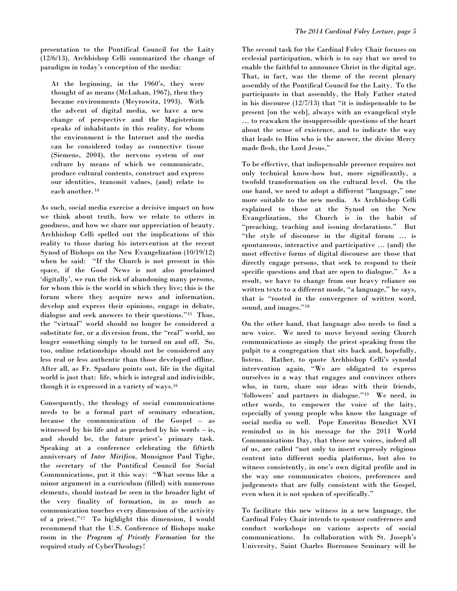presentation to the Pontifical Council for the Laity (12/6/13), Archbishop Celli summarized the change of paradigm in today's conception of the media:

At the beginning, in the 1960's, they were thought of as means (McLuhan, 1967), then they became environments (Meyrowitz, 1993). With the advent of digital media, we have a new change of perspective and the Magisterium speaks of inhabitants in this reality, for whom the environment is the Internet and the media can be considered today as connective tissue (Siemens, 2004), the nervous system of our culture by means of which we communicate, produce cultural contents, construct and express our identities, transmit values, (and) relate to each another. <sup>14</sup>

As such, social media exercise a decisive impact on how we think about truth, how we relate to others in goodness, and how we share our appreciation of beauty. Archbishop Celli spelled out the implications of this reality to those during his intervention at the recent Synod of Bishops on the New Evangelization (10/19/12) when he said: "If the Church is not present in this space, if the Good News is not also proclaimed 'digitally', we run the risk of abandoning many persons, for whom this is the world in which they live; this is the forum where they acquire news and information, develop and express their opinions, engage in debate, dialogue and seek answers to their questions."<sup>15</sup> Thus, the "virtual" world should no longer be considered a substitute for, or a diversion from, the "real" world, no longer something simply to be turned on and off. So, too, online relationships should not be considered any less real or less authentic than those developed offline. After all, as Fr. Spadaro points out, life in the digital world is just that: life, which is integral and indivisible, though it is expressed in a variety of ways.<sup>16</sup>

Consequently, the theology of social communications needs to be a formal part of seminary education, because the communication of the Gospel – as witnessed by his life and as preached by his words – is, and should be, the future priest's primary task. Speaking at a conference celebrating the fiftieth anniversary of *Inter Mirifica*, Monsignor Paul Tighe, the secretary of the Pontifical Council for Social Communications, put it this way: "What seems like a minor argument in a curriculum (filled) with numerous elements, should instead be seen in the broader light of the very finality of formation, in as much as communication touches every dimension of the activity of a priest."<sup>17</sup> To highlight this dimension, I would recommend that the U.S. Conference of Bishops make room in the *Program of Priestly Formation* for the required study of CyberTheology!

The second task for the Cardinal Foley Chair focuses on ecclesial participation, which is to say that we need to enable the faithful to announce Christ in the digital age. That, in fact, was the theme of the recent plenary assembly of the Pontifical Council for the Laity. To the participants in that assembly, the Holy Father stated in his discourse (12/7/13) that "it is indispensable to be present [on the web], always with an evangelical style … to reawaken the insuppressible questions of the heart about the sense of existence, and to indicate the way that leads to Him who is the answer, the divine Mercy made flesh, the Lord Jesus."

To be effective, that indispensable presence requires not only technical know-how but, more significantly, a twofold transformation on the cultural level. On the one hand, we need to adopt a different "language," one more suitable to the new media. As Archbishop Celli explained to those at the Synod on the New Evangelization, the Church is in the habit of "preaching, teaching and issuing declarations." But "the style of discourse in the digital forum … is spontaneous, interactive and participative … (and) the most effective forms of digital discourse are those that directly engage persons, that seek to respond to their specific questions and that are open to dialogue." As a result, we have to change from our heavy reliance on written texts to a different mode, "a language," he says, that is "rooted in the convergence of written word, sound, and images."<sup>18</sup>

On the other hand, that language also needs to find a new voice. We need to move beyond seeing Church communications as simply the priest speaking from the pulpit to a congregation that sits back and, hopefully, listens. Rather, to quote Archbishop Celli's synodal intervention again, "We are obligated to express ourselves in a way that engages and convinces others who, in turn, share our ideas with their friends, 'followers' and partners in dialogue."<sup>19</sup> We need, in other words, to empower the voice of the laity, especially of young people who know the language of social media so well. Pope Emeritus Benedict XVI reminded us in his message for the 2011 World Communications Day, that these new voices, indeed all of us, are called "not only to insert expressly religious content into different media platforms, but also to witness consistently, in one's own digital profile and in the way one communicates choices, preferences and judgements that are fully consistent with the Gospel, even when it is not spoken of specifically."

To facilitate this new witness in a new language, the Cardinal Foley Chair intends to sponsor conferences and conduct workshops on various aspects of social communications. In collaboration with St. Joseph's University, Saint Charles Borromeo Seminary will be